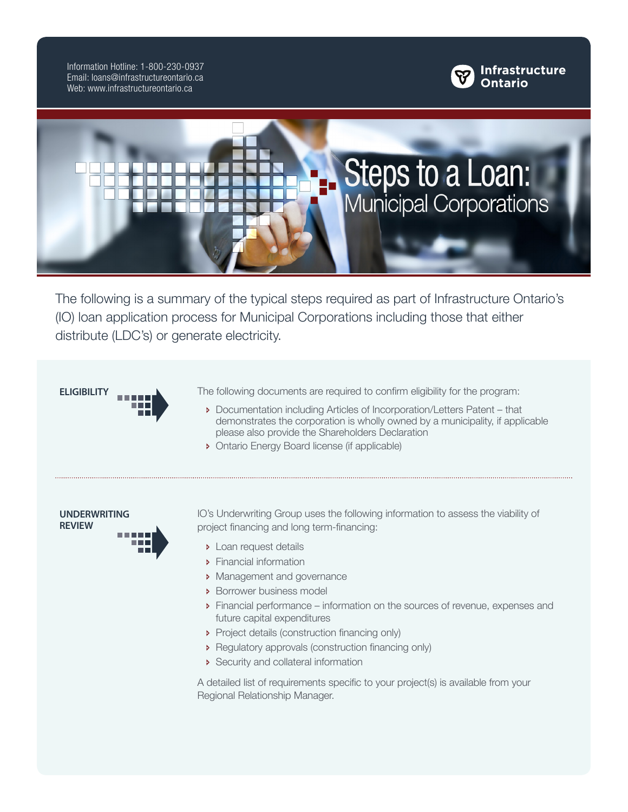Information Hotline: 1-800-230-0937 Email: loans@infrastructureontario.ca Web: www.infrastructureontario.ca





The following is a summary of the typical steps required as part of Infrastructure Ontario's (IO) loan application process for Municipal Corporations including those that either distribute (LDC's) or generate electricity.

**ELIGIBILITY** The following documents are required to confirm eligibility for the program:

- Ð Documentation including Articles of Incorporation/Letters Patent that demonstrates the corporation is wholly owned by a municipality, if applicable please also provide the Shareholders Declaration
- Ð Ontario Energy Board license (if applicable)



IO's Underwriting Group uses the following information to assess the viability of project financing and long term-financing:

- **D** Loan request details
- **>** Financial information
- **D** Management and governance
- Ð Borrower business model
- Ð Financial performance information on the sources of revenue, expenses and future capital expenditures
- Project details (construction financing only)
- Ð Regulatory approvals (construction financing only)
- Security and collateral information

A detailed list of requirements specific to your project(s) is available from your Regional Relationship Manager.